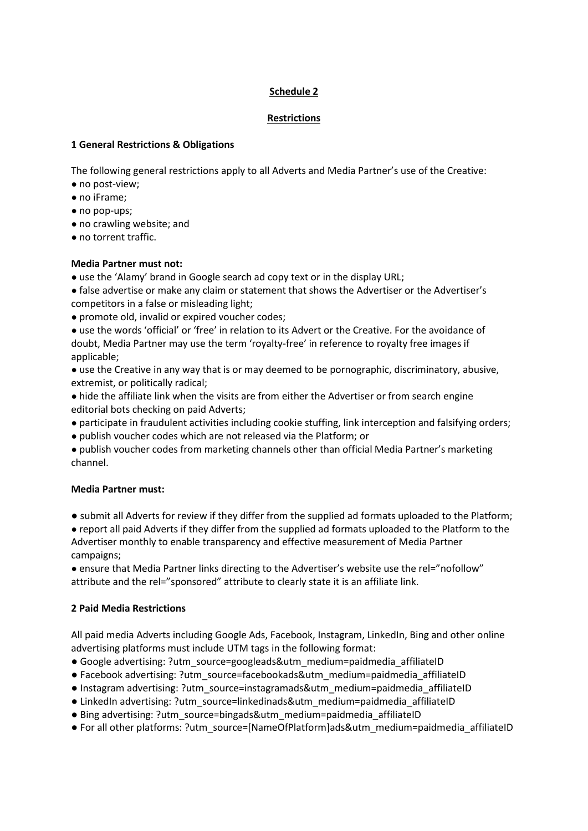## **Schedule 2**

### **Restrictions**

### **1 General Restrictions & Obligations**

The following general restrictions apply to all Adverts and Media Partner's use of the Creative:

- no post-view;
- no iFrame;
- no pop-ups;
- no crawling website; and
- no torrent traffic.

## **Media Partner must not:**

• use the 'Alamy' brand in Google search ad copy text or in the display URL;

● false advertise or make any claim or statement that shows the Advertiser or the Advertiser's competitors in a false or misleading light;

- promote old, invalid or expired voucher codes;
- use the words 'official' or 'free' in relation to its Advert or the Creative. For the avoidance of doubt, Media Partner may use the term 'royalty-free' in reference to royalty free images if applicable;
- use the Creative in any way that is or may deemed to be pornographic, discriminatory, abusive, extremist, or politically radical;
- hide the affiliate link when the visits are from either the Advertiser or from search engine editorial bots checking on paid Adverts;
- participate in fraudulent activities including cookie stuffing, link interception and falsifying orders;
- publish voucher codes which are not released via the Platform; or
- publish voucher codes from marketing channels other than official Media Partner's marketing channel.

### **Media Partner must:**

● submit all Adverts for review if they differ from the supplied ad formats uploaded to the Platform;

● report all paid Adverts if they differ from the supplied ad formats uploaded to the Platform to the Advertiser monthly to enable transparency and effective measurement of Media Partner campaigns;

● ensure that Media Partner links directing to the Advertiser's website use the rel="nofollow" attribute and the rel="sponsored" attribute to clearly state it is an affiliate link.

# **2 Paid Media Restrictions**

All paid media Adverts including Google Ads, Facebook, Instagram, LinkedIn, Bing and other online advertising platforms must include UTM tags in the following format:

- Google advertising: ?utm\_source=googleads&utm\_medium=paidmedia\_affiliateID
- Facebook advertising: ?utm\_source=facebookads&utm\_medium=paidmedia\_affiliateID
- Instagram advertising: ?utm\_source=instagramads&utm\_medium=paidmedia\_affiliateID
- LinkedIn advertising: ?utm\_source=linkedinads&utm\_medium=paidmedia\_affiliateID
- Bing advertising: ?utm\_source=bingads&utm\_medium=paidmedia\_affiliateID
- For all other platforms: ?utm\_source=[NameOfPlatform]ads&utm\_medium=paidmedia\_affiliateID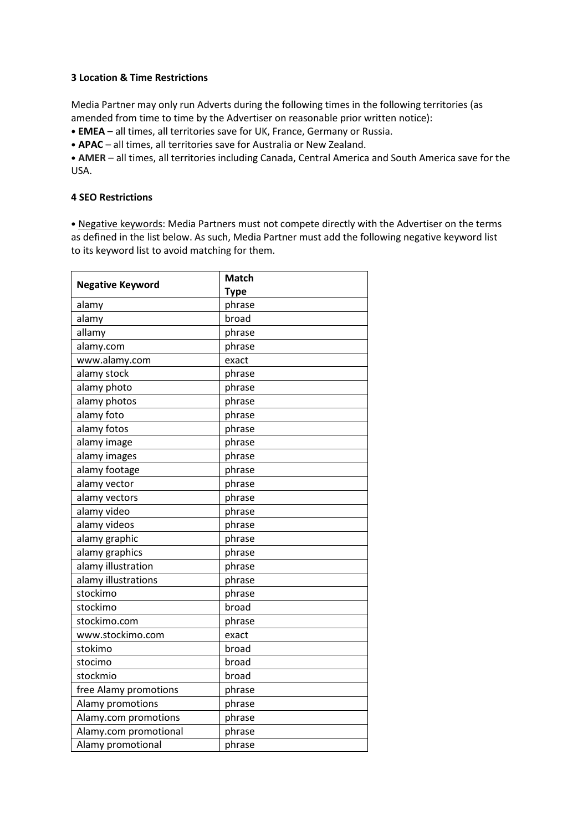#### **3 Location & Time Restrictions**

Media Partner may only run Adverts during the following times in the following territories (as amended from time to time by the Advertiser on reasonable prior written notice):

• **EMEA** – all times, all territories save for UK, France, Germany or Russia.

• **APAC** – all times, all territories save for Australia or New Zealand.

• **AMER** – all times, all territories including Canada, Central America and South America save for the USA.

#### **4 SEO Restrictions**

• Negative keywords: Media Partners must not compete directly with the Advertiser on the terms as defined in the list below. As such, Media Partner must add the following negative keyword list to its keyword list to avoid matching for them.

| <b>Negative Keyword</b> | <b>Match</b> |
|-------------------------|--------------|
|                         | <b>Type</b>  |
| alamy                   | phrase       |
| alamy                   | broad        |
| allamy                  | phrase       |
| alamy.com               | phrase       |
| www.alamy.com           | exact        |
| alamy stock             | phrase       |
| alamy photo             | phrase       |
| alamy photos            | phrase       |
| alamy foto              | phrase       |
| alamy fotos             | phrase       |
| alamy image             | phrase       |
| alamy images            | phrase       |
| alamy footage           | phrase       |
| alamy vector            | phrase       |
| alamy vectors           | phrase       |
| alamy video             | phrase       |
| alamy videos            | phrase       |
| alamy graphic           | phrase       |
| alamy graphics          | phrase       |
| alamy illustration      | phrase       |
| alamy illustrations     | phrase       |
| stockimo                | phrase       |
| stockimo                | broad        |
| stockimo.com            | phrase       |
| www.stockimo.com        | exact        |
| stokimo                 | broad        |
| stocimo                 | broad        |
| stockmio                | broad        |
| free Alamy promotions   | phrase       |
| Alamy promotions        | phrase       |
| Alamy.com promotions    | phrase       |
| Alamy.com promotional   | phrase       |
| Alamy promotional       | phrase       |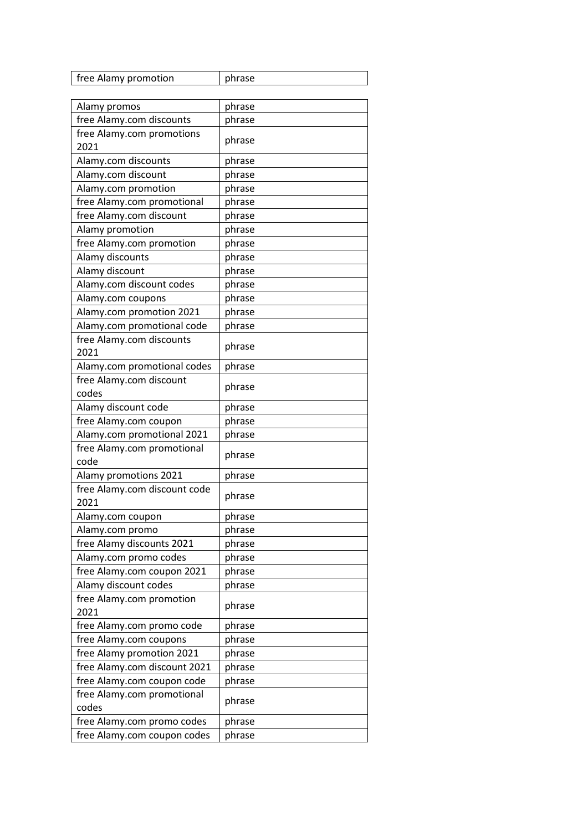| free Alamy promotion                 | phrase |
|--------------------------------------|--------|
|                                      |        |
| Alamy promos                         | phrase |
| free Alamy.com discounts             | phrase |
| free Alamy.com promotions<br>2021    | phrase |
| Alamy.com discounts                  | phrase |
| Alamy.com discount                   | phrase |
| Alamy.com promotion                  | phrase |
| free Alamy.com promotional           | phrase |
| free Alamy.com discount              | phrase |
| Alamy promotion                      | phrase |
| free Alamy.com promotion             | phrase |
| Alamy discounts                      | phrase |
| Alamy discount                       | phrase |
| Alamy.com discount codes             | phrase |
| Alamy.com coupons                    | phrase |
| Alamy.com promotion 2021             | phrase |
| Alamy.com promotional code           | phrase |
| free Alamy.com discounts<br>2021     | phrase |
| Alamy.com promotional codes          | phrase |
| free Alamy.com discount<br>codes     | phrase |
| Alamy discount code                  | phrase |
| free Alamy.com coupon                | phrase |
| Alamy.com promotional 2021           | phrase |
| free Alamy.com promotional           |        |
| code                                 | phrase |
| Alamy promotions 2021                | phrase |
| free Alamy.com discount code<br>2021 | phrase |
| Alamy.com coupon                     | phrase |
| Alamy.com promo                      | phrase |
| free Alamy discounts 2021            | phrase |
| Alamy.com promo codes                | phrase |
| free Alamy.com coupon 2021           | phrase |
| Alamy discount codes                 | phrase |
| free Alamy.com promotion             | phrase |
| 2021                                 |        |
| free Alamy.com promo code            | phrase |
| free Alamy.com coupons               | phrase |
| free Alamy promotion 2021            | phrase |
| free Alamy.com discount 2021         | phrase |
| free Alamy.com coupon code           | phrase |
| free Alamy.com promotional<br>codes  | phrase |
| free Alamy.com promo codes           | phrase |
| free Alamy.com coupon codes          | phrase |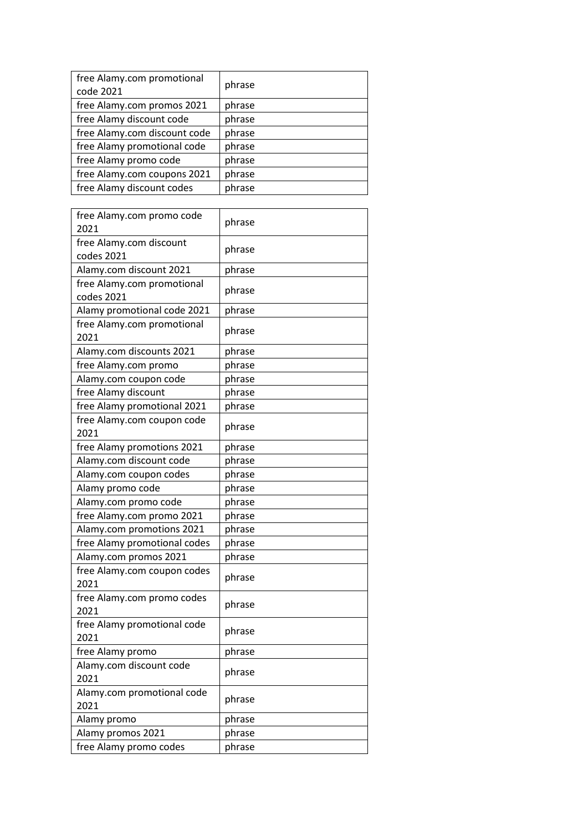| free Alamy.com promotional<br>code 2021 | phrase |
|-----------------------------------------|--------|
| free Alamy.com promos 2021              | phrase |
| free Alamy discount code                | phrase |
| free Alamy.com discount code            | phrase |
| free Alamy promotional code             | phrase |
| free Alamy promo code                   | phrase |
| free Alamy.com coupons 2021             | phrase |
| free Alamy discount codes               | phrase |

| free Alamy.com promo code<br>2021        | phrase |
|------------------------------------------|--------|
| free Alamy.com discount<br>codes 2021    | phrase |
| Alamy.com discount 2021                  | phrase |
| free Alamy.com promotional<br>codes 2021 | phrase |
| Alamy promotional code 2021              | phrase |
| free Alamy.com promotional<br>2021       | phrase |
| Alamy.com discounts 2021                 | phrase |
| free Alamy.com promo                     | phrase |
| Alamy.com coupon code                    | phrase |
| free Alamy discount                      | phrase |
| free Alamy promotional 2021              | phrase |
| free Alamy.com coupon code<br>2021       | phrase |
| free Alamy promotions 2021               | phrase |
| Alamy.com discount code                  | phrase |
| Alamy.com coupon codes                   | phrase |
| Alamy promo code                         | phrase |
| Alamy.com promo code                     | phrase |
| free Alamy.com promo 2021                | phrase |
| Alamy.com promotions 2021                | phrase |
| free Alamy promotional codes             | phrase |
| Alamy.com promos 2021                    | phrase |
| free Alamy.com coupon codes<br>2021      | phrase |
| free Alamy.com promo codes<br>2021       | phrase |
| free Alamy promotional code<br>2021      | phrase |
| free Alamy promo                         | phrase |
| Alamy.com discount code                  | phrase |
| 2021                                     |        |
| Alamy.com promotional code<br>2021       | phrase |
| Alamy promo                              | phrase |
| Alamy promos 2021                        | phrase |
| free Alamy promo codes                   | phrase |